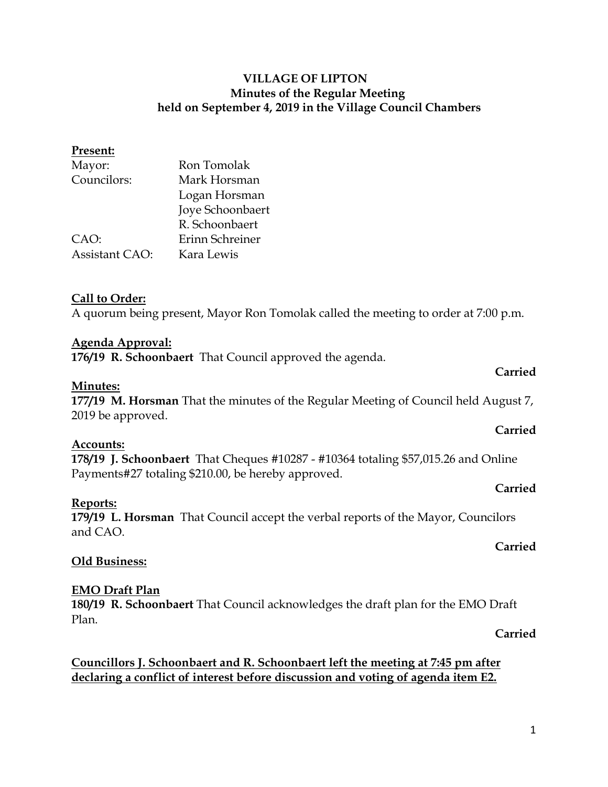### **Present:**

| Mayor:                | Ron Tomolak      |
|-----------------------|------------------|
| Councilors:           | Mark Horsman     |
|                       | Logan Horsman    |
|                       | Joye Schoonbaert |
|                       | R. Schoonbaert   |
| CAO:                  | Erinn Schreiner  |
| <b>Assistant CAO:</b> | Kara Lewis       |

### **Call to Order:**

A quorum being present, Mayor Ron Tomolak called the meeting to order at 7:00 p.m.

### **Agenda Approval:**

**176/19 R. Schoonbaert** That Council approved the agenda.

### **Minutes:**

**177/19 M. Horsman** That the minutes of the Regular Meeting of Council held August 7, 2019 be approved.

## **Accounts:**

**178/19 J. Schoonbaert** That Cheques #10287 - #10364 totaling \$57,015.26 and Online Payments#27 totaling \$210.00, be hereby approved.

### **Reports:**

**179/19 L. Horsman** That Council accept the verbal reports of the Mayor, Councilors and CAO.

### **Carried**

**Carried**

## **Old Business:**

## **EMO Draft Plan**

**180/19 R. Schoonbaert** That Council acknowledges the draft plan for the EMO Draft Plan.

## **Carried**

## **Councillors J. Schoonbaert and R. Schoonbaert left the meeting at 7:45 pm after declaring a conflict of interest before discussion and voting of agenda item E2.**

**Carried**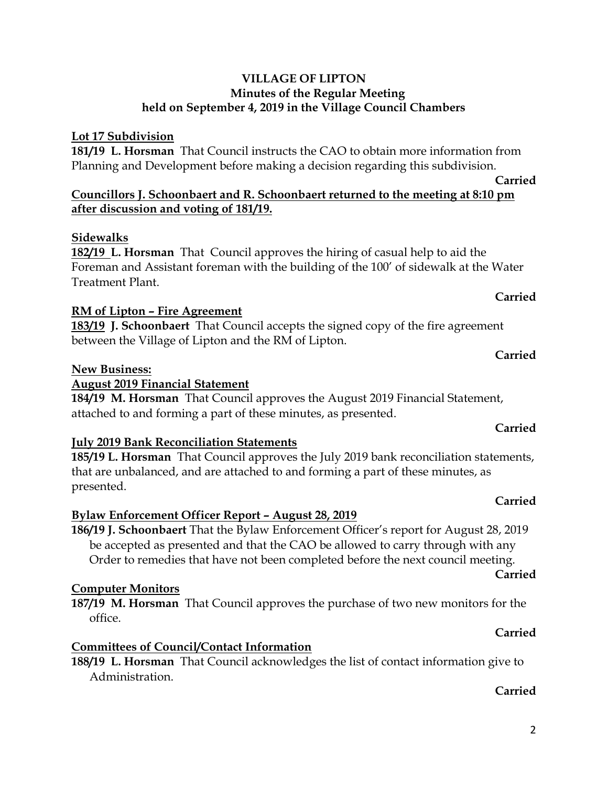# **Lot 17 Subdivision**

**181/19 L. Horsman** That Council instructs the CAO to obtain more information from Planning and Development before making a decision regarding this subdivision.

# **Councillors J. Schoonbaert and R. Schoonbaert returned to the meeting at 8:10 pm after discussion and voting of 181/19.**

# **Sidewalks**

**182/19 L. Horsman** That Council approves the hiring of casual help to aid the Foreman and Assistant foreman with the building of the 100' of sidewalk at the Water Treatment Plant.

# **RM of Lipton – Fire Agreement**

**183/19 J. Schoonbaert** That Council accepts the signed copy of the fire agreement between the Village of Lipton and the RM of Lipton.

# **New Business:**

# **August 2019 Financial Statement**

**184/19 M. Horsman** That Council approves the August 2019 Financial Statement, attached to and forming a part of these minutes, as presented.

# **July 2019 Bank Reconciliation Statements**

**185/19 L. Horsman** That Council approves the July 2019 bank reconciliation statements, that are unbalanced, and are attached to and forming a part of these minutes, as presented.

# **Bylaw Enforcement Officer Report – August 28, 2019**

**186/19 J. Schoonbaert** That the Bylaw Enforcement Officer's report for August 28, 2019 be accepted as presented and that the CAO be allowed to carry through with any Order to remedies that have not been completed before the next council meeting.

# **Computer Monitors**

**187/19 M. Horsman** That Council approves the purchase of two new monitors for the office.

# **Committees of Council/Contact Information**

**188/19 L. Horsman** That Council acknowledges the list of contact information give to Administration.

# **Carried**

# **Carried**

# **Carried**

# **Carried**

## **Carried**

**Carried**

# **Carried**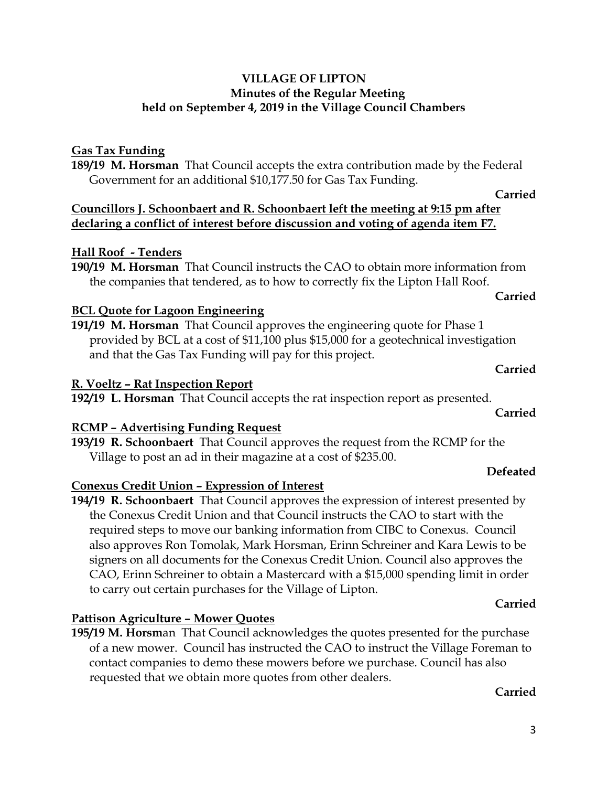# **Gas Tax Funding**

**189/19 M. Horsman** That Council accepts the extra contribution made by the Federal Government for an additional \$10,177.50 for Gas Tax Funding.

## **Councillors J. Schoonbaert and R. Schoonbaert left the meeting at 9:15 pm after declaring a conflict of interest before discussion and voting of agenda item F7.**

## **Hall Roof - Tenders**

**190/19 M. Horsman** That Council instructs the CAO to obtain more information from the companies that tendered, as to how to correctly fix the Lipton Hall Roof.

# **BCL Quote for Lagoon Engineering**

**191/19 M. Horsman** That Council approves the engineering quote for Phase 1 provided by BCL at a cost of \$11,100 plus \$15,000 for a geotechnical investigation and that the Gas Tax Funding will pay for this project.

## **R. Voeltz – Rat Inspection Report**

**192/19 L. Horsman** That Council accepts the rat inspection report as presented.

# **RCMP – Advertising Funding Request**

**193/19 R. Schoonbaert** That Council approves the request from the RCMP for the Village to post an ad in their magazine at a cost of \$235.00.

## **Conexus Credit Union – Expression of Interest**

**194/19 R. Schoonbaert** That Council approves the expression of interest presented by the Conexus Credit Union and that Council instructs the CAO to start with the required steps to move our banking information from CIBC to Conexus. Council also approves Ron Tomolak, Mark Horsman, Erinn Schreiner and Kara Lewis to be signers on all documents for the Conexus Credit Union. Council also approves the CAO, Erinn Schreiner to obtain a Mastercard with a \$15,000 spending limit in order to carry out certain purchases for the Village of Lipton.

# **Pattison Agriculture – Mower Quotes**

**195/19 M. Horsm**an That Council acknowledges the quotes presented for the purchase of a new mower. Council has instructed the CAO to instruct the Village Foreman to contact companies to demo these mowers before we purchase. Council has also requested that we obtain more quotes from other dealers.

## **Carried**

**Carried**

# **Defeated**

# **Carried**

**Carried**

**Carried**